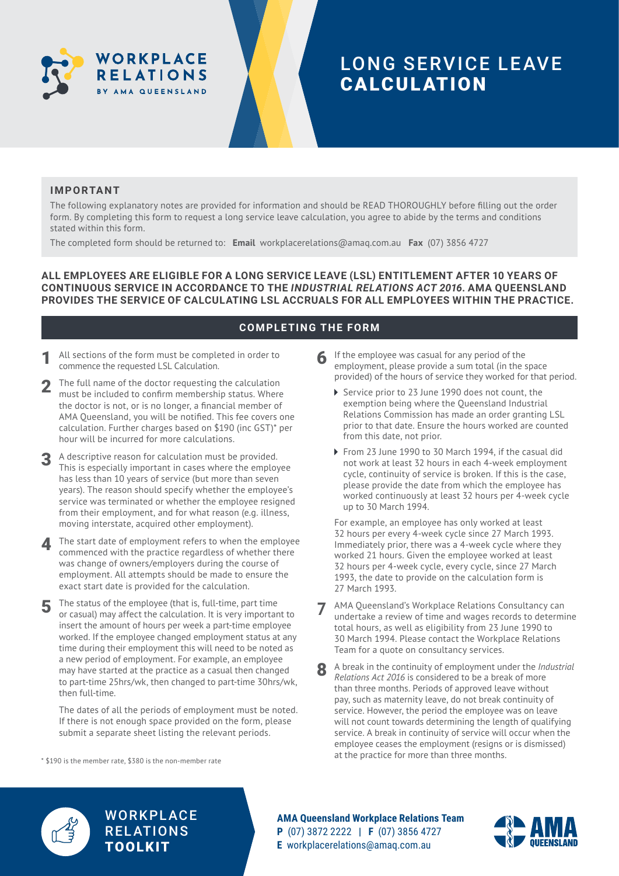

## LONG SERVICE LEAVE CALCULATION

#### **IMPORTANT**

The following explanatory notes are provided for information and should be READ THOROUGHLY before filling out the order form. By completing this form to request a long service leave calculation, you agree to abide by the terms and conditions stated within this form.

The completed form should be returned to: **Email** [workplacerelations@amaq.com.au](mailto:workplacerelations%40amaq.com.au?subject=) **Fax** (07) 3856 4727

**ALL EMPLOYEES ARE ELIGIBLE FOR A LONG SERVICE LEAVE (LSL) ENTITLEMENT AFTER 10 YEARS OF CONTINUOUS SERVICE IN ACCORDANCE TO THE** *INDUSTRIAL RELATIONS ACT 2016***. AMA QUEENSLAND PROVIDES THE SERVICE OF CALCULATING LSL ACCRUALS FOR ALL EMPLOYEES WITHIN THE PRACTICE.**

#### **COMPLETING THE FORM**

- All sections of the form must be completed in order to commence the requested LSL Calculation.
- 2 The full name of the doctor requesting the calculation must be included to confirm membership status. Where the doctor is not, or is no longer, a financial member of AMA Queensland, you will be notified. This fee covers one calculation. Further charges based on \$190 (inc GST)\* per hour will be incurred for more calculations.
- 3 A descriptive reason for calculation must be provided. This is especially important in cases where the employee has less than 10 years of service (but more than seven years). The reason should specify whether the employee's service was terminated or whether the employee resigned from their employment, and for what reason (e.g. illness, moving interstate, acquired other employment).
- The start date of employment refers to when the employee commenced with the practice regardless of whether there was change of owners/employers during the course of employment. All attempts should be made to ensure the exact start date is provided for the calculation.
- 5 The status of the employee (that is, full-time, part time or casual) may affect the calculation. It is very important to insert the amount of hours per week a part-time employee worked. If the employee changed employment status at any time during their employment this will need to be noted as a new period of employment. For example, an employee may have started at the practice as a casual then changed to part-time 25hrs/wk, then changed to part-time 30hrs/wk, then full-time.

 The dates of all the periods of employment must be noted. If there is not enough space provided on the form, please submit a separate sheet listing the relevant periods.

\* \$190 is the member rate, \$380 is the non-member rate

- 6 If the employee was casual for any period of the employment, please provide a sum total (in the space provided) of the hours of service they worked for that period.
	- ▶ Service prior to 23 June 1990 does not count, the exemption being where the Queensland Industrial Relations Commission has made an order granting LSL prior to that date. Ensure the hours worked are counted from this date, not prior.
	- ▶ From 23 June 1990 to 30 March 1994, if the casual did not work at least 32 hours in each 4-week employment cycle, continuity of service is broken. If this is the case, please provide the date from which the employee has worked continuously at least 32 hours per 4-week cycle up to 30 March 1994.

 For example, an employee has only worked at least 32 hours per every 4-week cycle since 27 March 1993. Immediately prior, there was a 4-week cycle where they worked 21 hours. Given the employee worked at least 32 hours per 4-week cycle, every cycle, since 27 March 1993, the date to provide on the calculation form is 27 March 1993.

- **7** AMA Queensland's Workplace Relations Consultancy can undertake a review of time and wages records to determine total hours, as well as eligibility from 23 June 1990 to 30 March 1994. Please contact the Workplace Relations Team for a quote on consultancy services.
- 8 A break in the continuity of employment under the *Industrial Relations Act 2016* is considered to be a break of more than three months. Periods of approved leave without pay, such as maternity leave, do not break continuity of service. However, the period the employee was on leave will not count towards determining the length of qualifying service. A break in continuity of service will occur when the employee ceases the employment (resigns or is dismissed) at the practice for more than three months.



**WORKPLACE RELATIONS** TOOLKIT

**AMA Queensland Workplace Relations Team P** (07) 3872 2222 **| F** (07) 3856 4727 **E** [workplacerelations@amaq.com.au](mailto:workplacerelations%40amaq.com.au?subject=)

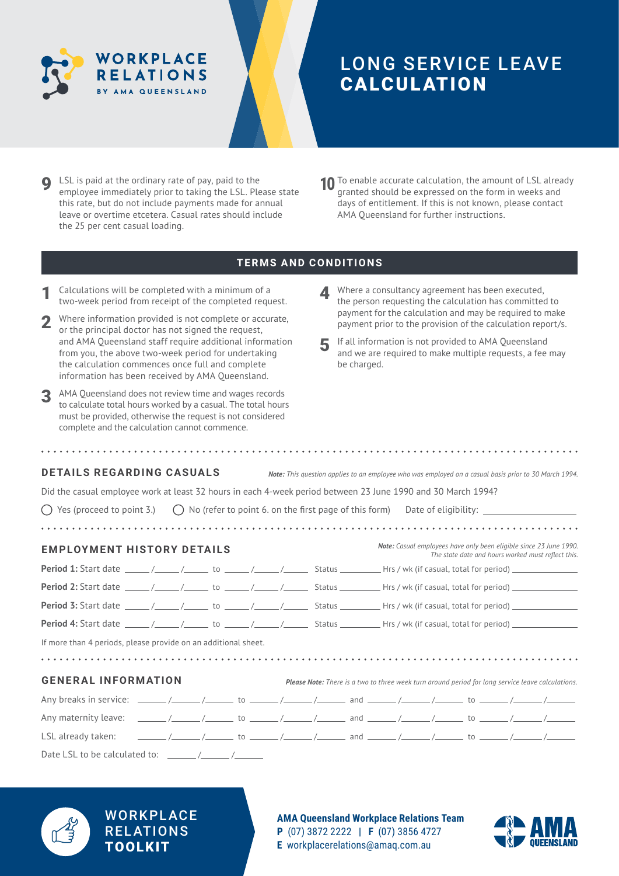

# LONG SERVICE LEAVE CALCULATION

- **Q** LSL is paid at the ordinary rate of pay, paid to the employee immediately prior to taking the LSL. Please state this rate, but do not include payments made for annual leave or overtime etcetera. Casual rates should include the 25 per cent casual loading.
- 10 To enable accurate calculation, the amount of LSL already granted should be expressed on the form in weeks and days of entitlement. If this is not known, please contact AMA Queensland for further instructions.

#### **TERMS AND CONDITIONS**

- Calculations will be completed with a minimum of a two-week period from receipt of the completed request.
- 2 Where information provided is not complete or accurate, or the principal doctor has not signed the request, and AMA Queensland staff require additional information from you, the above two-week period for undertaking the calculation commences once full and complete information has been received by AMA Queensland.
- 3 AMA Queensland does not review time and wages records to calculate total hours worked by a casual. The total hours must be provided, otherwise the request is not considered complete and the calculation cannot commence.
- 4 Where a consultancy agreement has been executed, the person requesting the calculation has committed to payment for the calculation and may be required to make payment prior to the provision of the calculation report/s.
- 5 If all information is not provided to AMA Queensland and we are required to make multiple requests, a fee may be charged.

| <b>DETAILS REGARDING CASUALS</b><br>Did the casual employee work at least 32 hours in each 4-week period between 23 June 1990 and 30 March 1994?<br>Yes (proceed to point 3.) $\bigcirc$ No (refer to point 6. on the first page of this form) Date of eligibility: |  |  |  |  |  | Note: This question applies to an employee who was employed on a casual basis prior to 30 March 1994.                           |
|---------------------------------------------------------------------------------------------------------------------------------------------------------------------------------------------------------------------------------------------------------------------|--|--|--|--|--|---------------------------------------------------------------------------------------------------------------------------------|
| <b>EMPLOYMENT HISTORY DETAILS</b>                                                                                                                                                                                                                                   |  |  |  |  |  | <b>Note:</b> Casual employees have only been eligible since 23 June 1990.<br>The state date and hours worked must reflect this. |
|                                                                                                                                                                                                                                                                     |  |  |  |  |  |                                                                                                                                 |
|                                                                                                                                                                                                                                                                     |  |  |  |  |  |                                                                                                                                 |
|                                                                                                                                                                                                                                                                     |  |  |  |  |  |                                                                                                                                 |
|                                                                                                                                                                                                                                                                     |  |  |  |  |  |                                                                                                                                 |
| If more than 4 periods, please provide on an additional sheet.                                                                                                                                                                                                      |  |  |  |  |  |                                                                                                                                 |
|                                                                                                                                                                                                                                                                     |  |  |  |  |  |                                                                                                                                 |
| <b>GENERAL INFORMATION</b>                                                                                                                                                                                                                                          |  |  |  |  |  | Please Note: There is a two to three week turn around period for long service leave calculations.                               |
|                                                                                                                                                                                                                                                                     |  |  |  |  |  |                                                                                                                                 |
|                                                                                                                                                                                                                                                                     |  |  |  |  |  |                                                                                                                                 |
|                                                                                                                                                                                                                                                                     |  |  |  |  |  |                                                                                                                                 |
| Date LSL to be calculated to: $\frac{1}{2}$                                                                                                                                                                                                                         |  |  |  |  |  |                                                                                                                                 |



### **WORKPLACE RELATIONS** TOOLKIT

**AMA Queensland Workplace Relations Team P** (07) 3872 2222 **| F** (07) 3856 4727 **E** [workplacerelations@amaq.com.au](mailto:workplacerelations%40amaq.com.au?subject=)